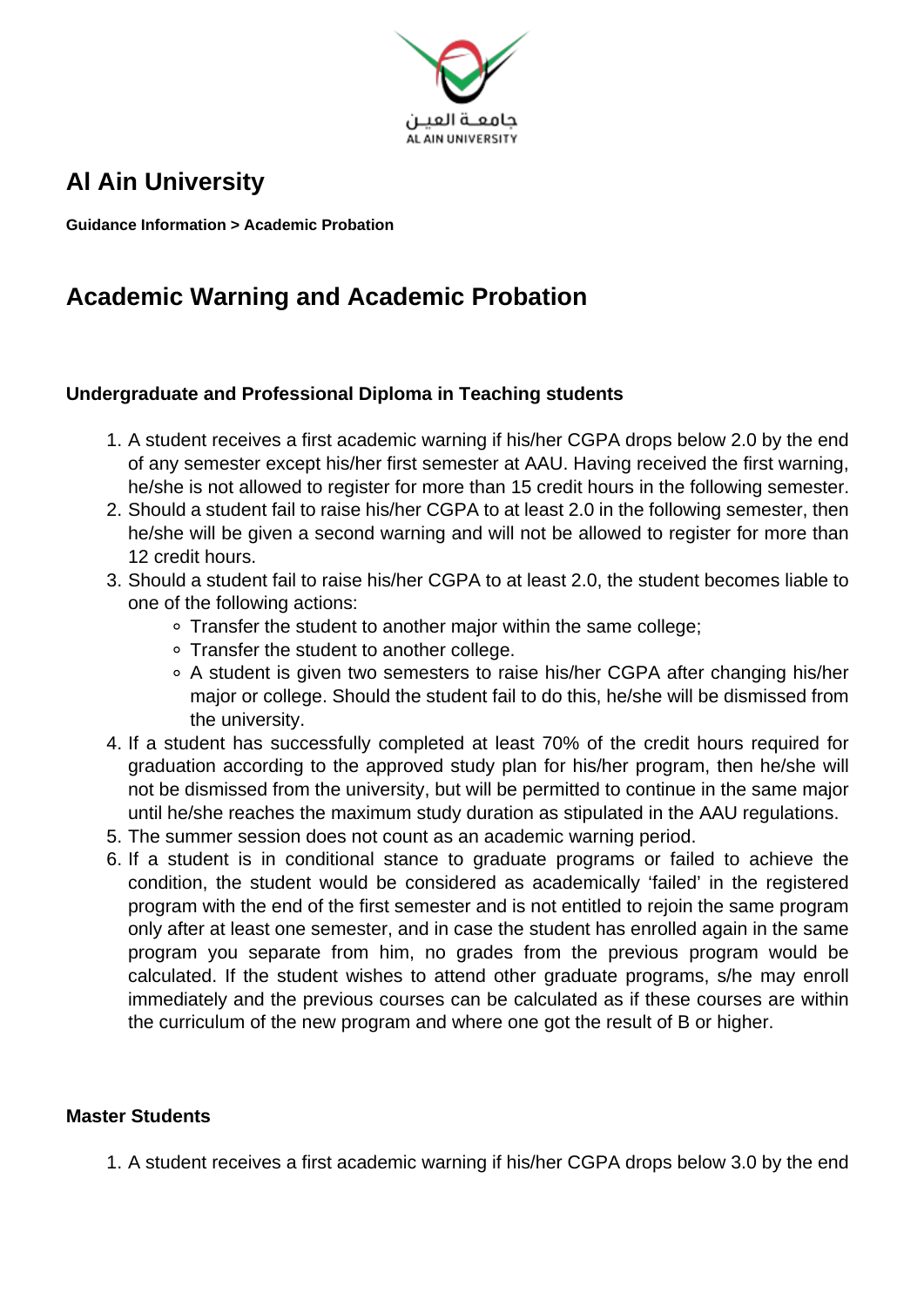

## **Al Ain University**

**Guidance Information > Academic Probation**

## **Academic Warning and Academic Probation**

## **Undergraduate and Professional Diploma in Teaching students**

- 1. A student receives a first academic warning if his/her CGPA drops below 2.0 by the end of any semester except his/her first semester at AAU. Having received the first warning, he/she is not allowed to register for more than 15 credit hours in the following semester.
- 2. Should a student fail to raise his/her CGPA to at least 2.0 in the following semester, then he/she will be given a second warning and will not be allowed to register for more than 12 credit hours.
- 3. Should a student fail to raise his/her CGPA to at least 2.0, the student becomes liable to one of the following actions:
	- Transfer the student to another major within the same college;
	- Transfer the student to another college.
	- A student is given two semesters to raise his/her CGPA after changing his/her major or college. Should the student fail to do this, he/she will be dismissed from the university.
- 4. If a student has successfully completed at least 70% of the credit hours required for graduation according to the approved study plan for his/her program, then he/she will not be dismissed from the university, but will be permitted to continue in the same major until he/she reaches the maximum study duration as stipulated in the AAU regulations.
- 5. The summer session does not count as an academic warning period.
- 6. If a student is in conditional stance to graduate programs or failed to achieve the condition, the student would be considered as academically 'failed' in the registered program with the end of the first semester and is not entitled to rejoin the same program only after at least one semester, and in case the student has enrolled again in the same program you separate from him, no grades from the previous program would be calculated. If the student wishes to attend other graduate programs, s/he may enroll immediately and the previous courses can be calculated as if these courses are within the curriculum of the new program and where one got the result of B or higher.

## **Master Students**

1. A student receives a first academic warning if his/her CGPA drops below 3.0 by the end